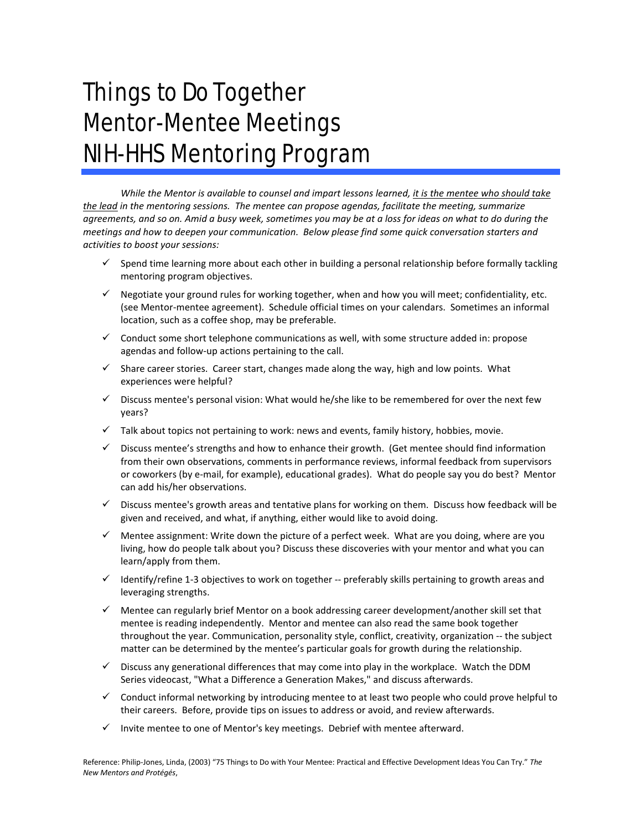## Things to Do Together Mentor-Mentee Meetings NIH-HHS Mentoring Program

*While the Mentor is available to counsel and impart lessons learned, it is the mentee who should take the lead in the mentoring sessions. The mentee can propose agendas, facilitate the meeting, summarize agreements, and so on. Amid a busy week, sometimes you may be at a loss for ideas on what to do during the meetings and how to deepen your communication. Below please find some quick conversation starters and activities to boost your sessions:*

- $\checkmark$  Spend time learning more about each other in building a personal relationship before formally tackling mentoring program objectives.
- $\checkmark$  Negotiate your ground rules for working together, when and how you will meet; confidentiality, etc. (see Mentor-mentee agreement). Schedule official times on your calendars. Sometimes an informal location, such as a coffee shop, may be preferable.
- $\checkmark$  Conduct some short telephone communications as well, with some structure added in: propose agendas and follow-up actions pertaining to the call.
- $\checkmark$  Share career stories. Career start, changes made along the way, high and low points. What experiences were helpful?
- $\checkmark$  Discuss mentee's personal vision: What would he/she like to be remembered for over the next few years?
- $\checkmark$  Talk about topics not pertaining to work: news and events, family history, hobbies, movie.
- Discuss mentee's strengths and how to enhance their growth. (Get mentee should find information from their own observations, comments in performance reviews, informal feedback from supervisors or coworkers (by e-mail, for example), educational grades). What do people say you do best? Mentor can add his/her observations.
- $\checkmark$  Discuss mentee's growth areas and tentative plans for working on them. Discuss how feedback will be given and received, and what, if anything, either would like to avoid doing.
- $\checkmark$  Mentee assignment: Write down the picture of a perfect week. What are you doing, where are you living, how do people talk about you? Discuss these discoveries with your mentor and what you can learn/apply from them.
- $\checkmark$  Identify/refine 1-3 objectives to work on together -- preferably skills pertaining to growth areas and leveraging strengths.
- $\checkmark$  Mentee can regularly brief Mentor on a book addressing career development/another skill set that mentee is reading independently. Mentor and mentee can also read the same book together throughout the year. Communication, personality style, conflict, creativity, organization -- the subject matter can be determined by the mentee's particular goals for growth during the relationship.
- $\checkmark$  Discuss any generational differences that may come into play in the workplace. Watch the DDM Series videocast, "What a Difference a Generation Makes," and discuss afterwards.
- $\checkmark$  Conduct informal networking by introducing mentee to at least two people who could prove helpful to their careers. Before, provide tips on issues to address or avoid, and review afterwards.
- $\checkmark$  Invite mentee to one of Mentor's key meetings. Debrief with mentee afterward.